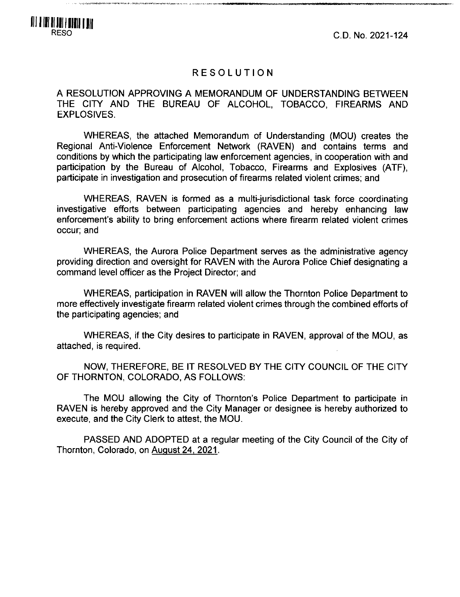C.D. No. 2021-124

# RESOLUTION

**'#'»»;y\*w a^.v •'X>4»»\*i» 11- <sup>&</sup>gt;**

A RESOLUTION APPROVING A MEMORANDUM OF UNDERSTANDING BETWEEN THE CITY AND THE BUREAU OF ALCOHOL. TOBACCO, FIREARMS AND EXPLOSIVES.

WHEREAS, the attached Memorandum of Understanding (MOU) creates the Regional Anti-Violence Enforcement Network (RAVEN) and contains terms and conditions by which the participating law enforcement agencies, in cooperation with and participation by the Bureau of Alcohol, Tobacco, Firearms and Explosives (ATF), participate in investigation and prosecution of firearms related violent crimes; and

WHEREAS, RAVEN is formed as a multi-jurisdictional task force coordinating investigative efforts between participating agencies and hereby enhancing law enforcement's ability to bring enforcement actions where firearm related violent crimes occur; and

WHEREAS, the Aurora Police Department serves as the administrative agency providing direction and oversight for RAVEN with the Aurora Police Chief designating a command level officer as the Project Director; and

WHEREAS, participation in RAVEN will allow the Thornton Police Department to more effectively investigate firearm related violent crimes through the combined efforts of the participating agencies; and

WHEREAS, if the City desires to participate in RAVEN, approval of the MOU, as attached, is required.

NOW, THEREFORE, BE IT RESOLVED BY THE CITY COUNCIL OF THE CITY OF THORNTON, COLORADO, AS FOLLOWS:

The MOU allowing the City of Thornton's Police Department to participate in RAVEN is hereby approved and the City Manager or designee is hereby authorized to execute, and the City Clerk to attest, the MOU.

PASSED AND ADOPTED at a regular meeting of the City Council of the City of Thornton, Colorado, on August 24. 2021.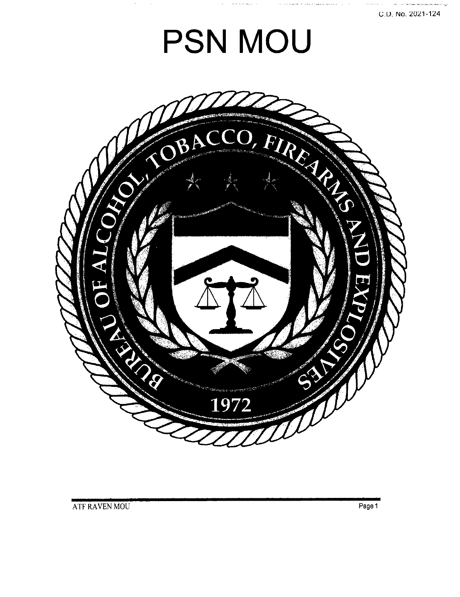

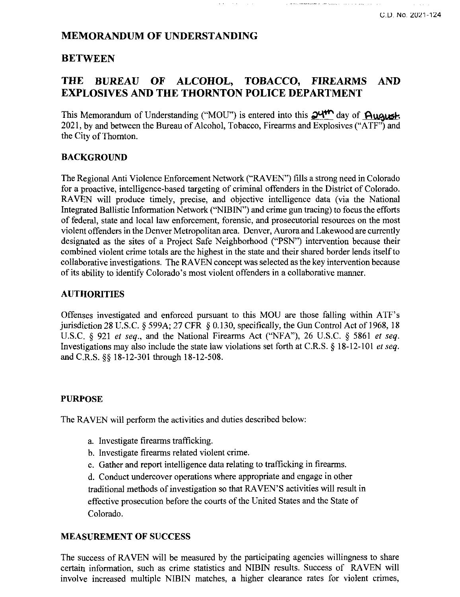# **MEMORANDUM OF UNDERSTANDING**

# **BETWEEN**

# **THE BUREAU OF ALCOHOL, TOBACCO, FIREARMS AND EXPLOSIVES AND THE THORNTON POLICE DEPARTMENT**

This Memorandum of Understanding ("MOU") is entered into this  $\partial^{U}$  day of August. 2021, by and between the Bureau of Alcohol, Tobacco, Firearms and Explosives ("ATF") and the City of Thornton.

# BACKGROUND

The Regional Anti Violence Enforcement Network ("RAVEN") fills a strong need in Colorado for a proactive, intelligence-based targeting of criminal offenders in the District of Colorado. RAVEN will produce timely, precise, and objective intelligence data (via the National Integrated Ballistic Information Network ("NIBIN") and crime gun tracing) to focus the efforts of federal, state and local law enforcement, forensic, and prosecutorial resources on the most violent offenders in the Denver Metropolitan area. Denver, Aurora and Lakewood are currently designated as the sites of a Project Safe Neighborhood ("PSN") intervention because their combined violent crime totals are the highest in the state and their shared border lends itself to collaborative investigations. The RAVEN concept was selected asthe key intervention because ofits ability to identify Colorado's most violent offenders in a collaborative manner.

# AUTHORITIES

Offenses investigated and enforced pursuant to this MOU are those falling within ATF's jurisdiction 28 U.S.C. § 599A; 27 CFR § 0.130, specifically, the Gun Control Act of 1968, 18 U.S.C. § 921 et seq., and the National Firearms Act ("NFA"), 26 U.S.C. § 5861 et seq. Investigations may also include the state law violations set forth at C.R.S. § 18-12-101 et seq. andC.R.S. §§ 18-12-301 through 18-12-508.

# PURPOSE

The RAVEN will perform the activities and duties described below:

- a. Investigate firearms trafficking.
- b. Investigate firearms related violent crime.
- c. Gather and report intelligence data relating to trafficking in firearms.

d. Conduct undercover operations where appropriate and engage in other traditional methods of investigation so that RAVEN'S activities will result in effective prosecution before the courts of the United States and the State of Colorado.

# MEASUREMENT OF SUCCESS

The success of RAVEN will be measured by the participating agencies willingness to share certain information, such as crime statistics and NIBIN results. Success of RAVEN will involve increased multiple NIBIN matches, a higher clearance rates for violent crimes.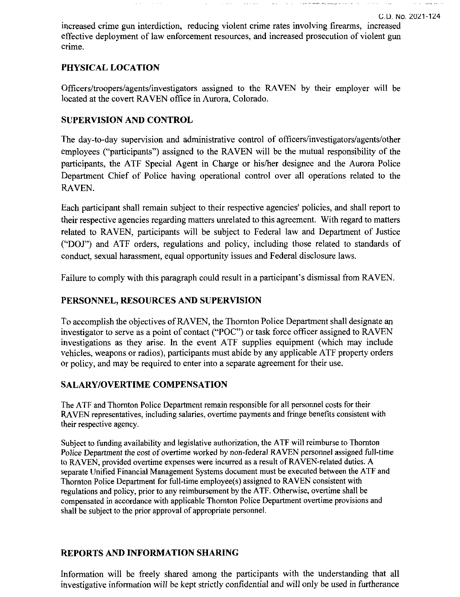$\sim$   $_{\rm{max}}$ 

increased crime gun interdiction, reducing violent crime rates involving firearms, increased effective deployment of law enforcement resources, and increased prosecution of violent gun crime.

# **PHYSICAL LOCATION**

Officers/troopers/agents/investigators assigned to the RAVEN by their employer will be located at the covert RAVEN office in Aurora, Colorado.

# **SUPERVISION AND CONTROL**

The day-to-day supervision and administrative control of officers/investigators/agents/other employees ("participants") assigned to the RAVEN will be the mutual responsibility of the participants, the ATF Special Agent in Charge or his/her designee and the Aurora Police Department Chief of Police having operational control over all operations related to the RAVEN.

Each participant shall remain subject to their respective agencies' policies, and shall report to their respective agencies regarding matters unrelated to this agreement. With regard to matters related to RAVEN, participants will be subject to Federal law and Department of Justice ("DOJ") and ATF orders, regulations and policy, including those related to standards of conduct, sexual harassment, equal opportunity issues and Federal disclosure laws.

Failure to comply with this paragraph could result in a participant's dismissal from RAVEN.

# **PERSONNEL, RESOURCES AND SUPERVISION**

To accomplish the objectives ofRAVEN, the Thornton Police Department shall designate an investigator to serve as a point of contact ("POC") or task force officer assigned to RAVEN investigations as they arise. In the event ATF supplies equipment (which may include vehicles, weapons or radios), participants must abide by any applicable ATF property orders or policy, and may be required to enter into a separate agreement for their use.

# **SALARY/OVERTIME COMPENSATION**

The ATF and Thornton Police Department remain responsible for all personnel costs for their RAVEN representatives, including salaries, overtime payments and fringe benefits consistent with their respective agency.

Subject to funding availability and legislative authorization, the ATF will reimburse to Thornton Police Department the cost of overtime worked by non-federal RAVEN personnel assigned full-time to RAVEN, provided overtime expenses were incurred as a result of RAVEN-related duties. A separate Unified Financial Management Systems document must be executed between the ATF and Thornton Police Department for full-time employee(s) assigned to RAVEN consistent with regulations and policy, prior to any reimbursement by the ATF. Otherwise, overtime shall be compensated in accordance with applicable Thornton Police Department overtime provisions and shall be subject to the prior approval of appropriate personnel.

# **REPORTS AND INFORMATION SHARING**

Information will be freely shared among the participants with the understanding that all investigative information will be kept strictly confidential and will only be used in furtherance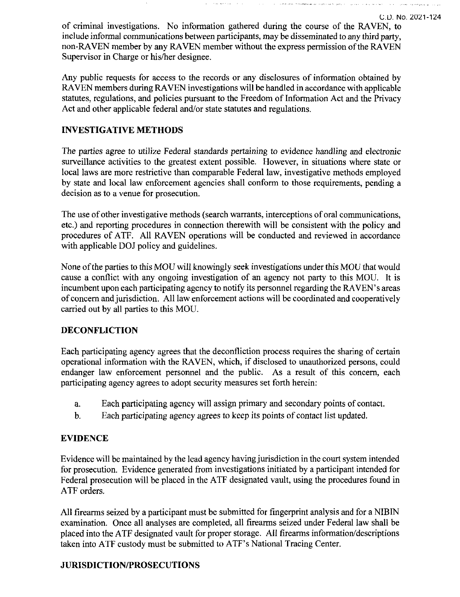of criminal investigations. No information gathered during the course of the RAVEN, to include informal communications between participants, may be disseminated to any third party, non-RAVEN member by any RAVEN member without the express permission of the RAVEN Supervisor in Charge or his/her designee.

Any public requests for access to the records or any disclosures of information obtained by RAVEN members during RAVEN investigations will be handled in accordance with applicable statutes, regulations, and policies pursuant to the Freedom of Information Act and the Privacy Act and other applicable federal and/or state statutes and regulations.

# **INVESTIGATIVE METHODS**

The parties agree to utilize Federal standards pertaining to evidence handling and electronic surveillance activities to the greatest extent possible. However, in situations where state or local laws are more restrictive than comparable Federal law, investigative methods employed by state and local law enforcement agencies shall conform to those requirements, pending a decision as to a venue for prosecution.

The use of other investigative methods (search warrants, interceptions of oral communications, etc.) and reporting procedures in connection therewith will be consistent with the policy and procedures of ATF. All RAVEN operations will be conducted and reviewed in accordance with applicable DOJ policy and guidelines.

None of the parties to this MOU will knowingly seek investigations under this MOU that would cause a conflict with any ongoing investigation of an agency not party to this MOU. It is incumbent upon each participating agency to notify its personnel regarding the RAVEN'S areas of concern and jurisdiction. All law enforcement actions will be coordinated and cooperatively carried out by all parties to this MOU.

# **DECONFLICTION**

Each participating agency agrees that the deconfliction process requires the sharing of certain operational information with the RAVEN, which, if disclosed to unauthorized persons, could endanger law enforcement personnel and the public. As a result of this concern, each participating agency agrees to adopt security measures set forth herein:

- a. Each participating agency will assign primary and secondary points of contact.
- b. Each participating agency agrees to keep its points of contact list updated.

# EVIDENCE

Evidence will be maintained by the lead agency havingjurisdiction in the court system intended for prosecution. Evidence generated from investigations initiated by a participant intended for Federal prosecution will be placed in the ATF designated vault, using the procedures found in ATF orders.

All firearms seized by a participant must be submitted for fingerprint analysis and for a NIBIN examination. Once all analyses are completed, all firearms seized under Federal law shall be placed into the ATF designated vault for proper storage. All firearms information/descriptions taken into ATF custody must be submitted to ATF's National Tracing Center.

# **JURISDICTION/PROSECUTIONS**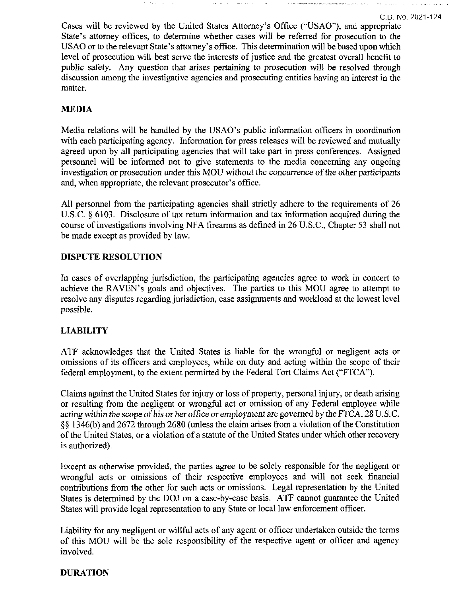Cases will be reviewed by the United States Attorney's Office ("USAO"), and appropriate State's attorney offices, to determine whether cases will be referred for prosecution to the USAO or to the relevant State's attorney's office. This determination will be based upon which level of prosecution will best serve the interests of justice and the greatest overall benefit to public safety. Any question that arises pertaining to prosecution will be resolved through discussion among the investigative agencies and prosecuting entities having an interest in the matter.

# **MEDIA**

Media relations will be handled by the USAO's public information officers in coordination with each participating agency. Information for press releases will be reviewed and mutually agreed upon by all participating agencies that will take part in press conferences. Assigned personnel will be informed not to give statements to the media concerning any ongoing investigation or prosecution under this MOU without the concurrence of the other participants and, when appropriate, the relevant prosecutor's office.

All personnel from the participating agencies shall strictly adhere to the requirements of 26 U.S.C.  $\S$  6103. Disclosure of tax return information and tax information acquired during the course of investigations involving NFA firearms as defined in 26 U.S.C., Chapter 53 shall not be made except as provided by law.

#### **DISPUTE RESOLUTION**

In cases of overlapping jurisdiction, the participating agencies agree to work in concert to achieve the RAVEN's goals and objectives. The parties to this MOU agree to attempt to resolve any disputes regarding jurisdiction, case assignments and workload at the lowest level possible.

# **LIABILITY**

ATF acknowledges that the United States is liable for the wrongful or negligent acts or omissions of its officers and employees, while on duty and acting within the scope of their federal employment, to the extent permitted by the Federal Tort Claims Act ("FTCA").

Claims against the United States for injury or loss of property, personal injury, or death arising or resulting from the negligent or wrongful act or omission of any Federal employee while acting within the scope of his or her office or employment are governed by the FTCA, 28 U.S.C. §§ 1346(b) and 2672 through 2680 (unless the claim arises from a violation of the Constitution of the United States, or a violation of a statute of the United States under which other recovery is authorized).

Except as otherwise provided, the parties agree to be solely responsible for the negligent or wrongful acts or omissions of their respective employees and will not seek financial contributions from the other for such acts or omissions. Legal representation by the United States is determined by the DOJ on a case-by-case basis. ATF cannot guarantee the United States will provide legal representation to any State or local law enforcement officer.

Liability for any negligent or willful acts of any agent or officer undertaken outside the terms of this MOU will be the sole responsibility of the respective agent or officer and agency involved.

# **DURATION**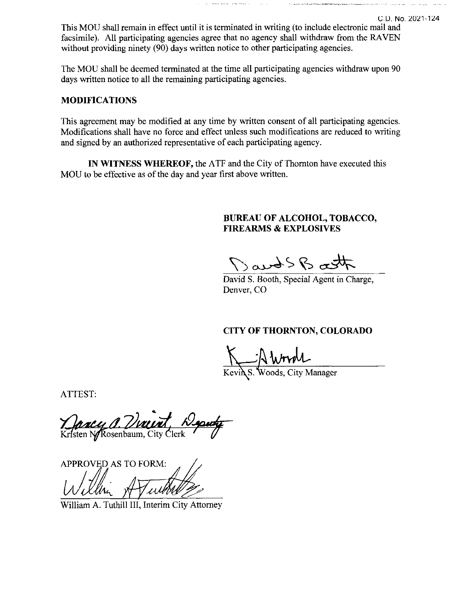This MOU shall remain in effect until it is terminated in writing (to include electronic mail and facsimile). All participating agencies agree that no agency shall withdraw from the RAVEN without providing ninety (90) days written notice to other participating agencies.

The MOU shall be deemed terminated at the time all participating agencies withdraw upon 90 days written notice to all the remaining participating agencies.

## **MODIFICATIONS**

This agreement may be modified at any time by written consent of all participating agencies. Modifications shall have no force and effect unless such modifications are reduced to writing and signed by an authorized representative of each participating agency.

IN WITNESS WHEREOF, the ATF and the City of Thornton have executed this MOU to be effective as of the day and year first above written.

# **BUREAU OF ALCOHOL, TOBACCO, FIREARMS & EXPLOSIVES**

Davo S B ast

David S. Booth, Special Agent in Charge, Denver, CO

**CITY OF THORNTON, COLORADO**

 $\frac{1}{\sqrt{W}}$  Wry $\frac{1}{\sqrt{W}}$  Woods, City Manager

ATTEST:

Kristen N/Rosenbaum, City Clerk

APPROVED AS TO FORM:

William A. Tuthill III, Interim City Attorney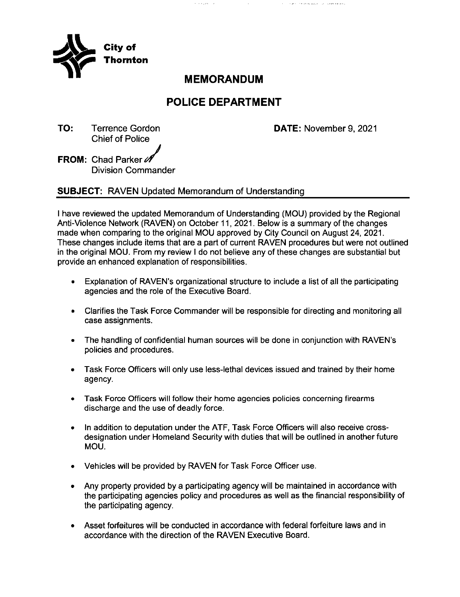

# **MEMORANDUM**

 $\omega$  is a given

# **POLICE DEPARTMENT**

Terrence Gordon Chief of Police **TO:**

DATE: November 9, 2021

.<br>Tarihin menyebarkan kali kalan

FROM: Chad Parker  $\mathscr A$ Division Commander

SUBJECT: RAVEN Updated Memorandum of Understanding

<sup>I</sup> have reviewed the updated Memorandum of Understanding (MOU) provided by the Regional Anti-Violence Network (RAVEN) on October 11,2021. Below is a summary of the changes made when comparing to the original MOU approved by City Council on August 24, 2021. These changes include items that are a part of current RAVEN procedures but were not outlined in the original MOU. From my review <sup>I</sup> do not believe any of these changes are substantial but provide an enhanced explanation of responsibilities.

- $\bullet$ Explanation of RAVEN'S organizational structure to include a list of all the participating agencies and the role of the Executive Board.
- Clarifies the Task Force Commander will be responsible for directing and monitoring all case assignments.
- The handling of confidential human sources will be done in conjunction with RAVEN'S  $\bullet$ policies and procedures.
- Task Force Officers will only use less-lethal devices issued and trained by their home  $\bullet$ agency.
- Task Force Officers will follow their home agencies policies concerning firearms  $\bullet$ discharge and the use of deadly force.
- In addition to deputation under the ATF, Task Force Officers will also receive cross- $\bullet$ designation under Homeland Security with duties that will be outlined in another future MOU.
- Vehicles will be provided by RAVEN for Task Force Officer use.  $\bullet$
- Any property provided by a participating agency will be maintained in accordance with  $\bullet$ the participating agencies policy and procedures as well as the financial responsibility of the participating agency.
- Asset forfeitures will be conducted in accordance with federal forfeiture laws and in accordance with the direction of the RAVEN Executive Board.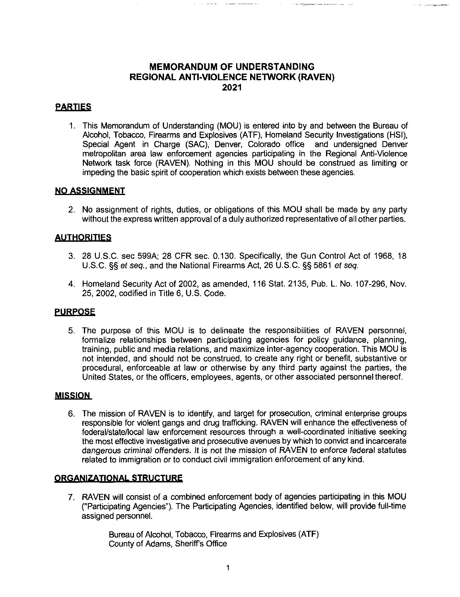# **MEMORANDUM OF UNDERSTANDING REGIONAL ANTI-VIOLENCE NETWORK (RAVEN) 2021**

evit sommen va

**State State Communications in the Photo** 

# **PARTIES**

1. This Memorandum of Understanding (MOU) is entered into by and between the Bureau of Alcohol, Tobacco, Firearms and Explosives (ATF), Homeland Security Investigations (HSI), Special Agent in Charge (SAC), Denver, Colorado office and undersigned Denver metropolitan area law enforcement agencies participating in the Regional Anti-Violence Network task force (RAVEN). Nothing in this MOU should be construed as limiting or impeding the basic spirit of cooperation which exists between these agencies.

#### **NO ASSIGNMENT**

2. No assignment of rights, duties, or obligations of this MOU shall be made by any party without the express written approval of a duly authorized representative of all other parties.

#### **AUTHORITIES**

- *3. 28 U.S.C. sec 599A: 28 CFR sec. 0.130. Specifically, the Gun Control Act of 1968, 18 U.S.C. §§ et seq., and the National Firearms Act, 26 U.S.C. §§ 5861 et seq.*
- 4. Homeland Security Act of 2002, as amended, 116 Stat. 2135, Pub. L. No. 107-296, Nov. 25, 2002, codified in Title 6, U.S. Code.

#### **PURPOSE**

5. The purpose of this MOU is to delineate the responsibilities of RAVEN personnel, formalize relationships between participating agencies for policy guidance, planning, training, public and media relations, and maximize inter-agency cooperation. This MOU is not intended, and should not be construed, to create any right or benefit, substantive or procedural, enforceable at law or otherwise by any third party against the parties, the United States, or the officers, employees, agents, or other associated personnel thereof.

#### **MISSION**

6. The mission of RAVEN is to identify, and target for prosecution, criminal enterprise groups responsible for violent gangs and drug trafficking. RAVEN will enhance the effectiveness of federal/state/local law enforcement resources through a well-coordinated initiative seeking the most effective investigative and prosecutive avenues by which to convict and incarcerate dangerous criminal offenders. It Is not the mission of RAVEN to enforce federal statutes related to immigration or to conduct civil immigration enforcement of any kind.

#### **ORGANIZATIONAL STRUCTURE**

7. RAVEN will consist of a combined enforcement body of agencies participating in this MOU ("Participating Agencies"). The Participating Agencies, identified below, will provide full-time assigned personnel.

> Bureau of Alcohol, Tobacco, Firearms and Explosives (ATF) County of Adams, Sheriffs Office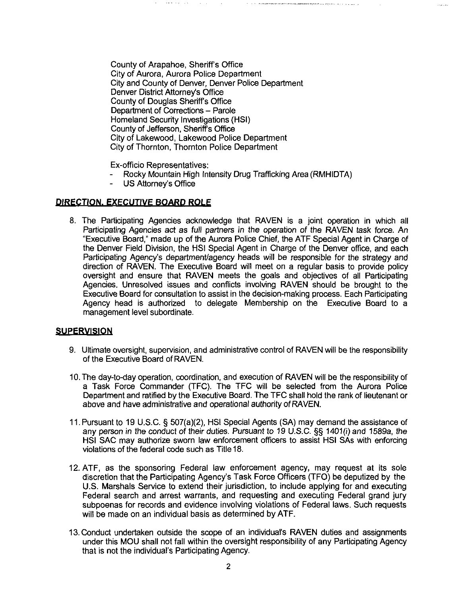County of Arapahoe, Sheriff's Office City of Aurora, Aurora Police Department City and County of Denver, Denver Police Department Denver District Attorney's Office County of Douglas Sheriff's Office Department of Corrections - Parole Homeland Security Investigations (HSI) County of Jefferson, Sheriffs Office City of Lakewood, Lakewood Police Department City of Thornton, Thornton Police Department

Ex-officio Representatives:

Rocky Mountain High Intensity Drug Trafficking Area (RMHIDTA)

 $\mathcal{L}_{\text{GUT}}$  , where

US Attorney's Office

#### **DIRECTION. EXECUTIVE BOARD ROLE**

8. The Participating Agencies acknowledge that RAVEN is a joint operation in which all Participating Agencies act as full partners in the operation of the RAVEN task force. An "Executive Board," made up of the Aurora Police Chief, the ATF Special Agent in Charge of the Denver Field Division, the HSI Special Agent in Charge of the Denver office, and each Participating Agency's department/agency heads will be responsible for the strategy and direction of RAVEN. The Executive Board will meet on a regular basis to provide policy oversight and ensure that RAVEN meets the goals and objectives of all Participating Agencies. Unresolved issues and conflicts involving RAVEN should be brought to the Executive Board for consultation to assist in the decision-making process. Each Participating Agency head is authorized to delegate Membership on the Executive Board to a management level subordinate.

#### **SUPERVISION**

- 9. Ultimate oversight, supervision, and administrative control of RAVEN will be the responsibility of the Executive Board of RAVEN.
- 10. The day-to-day operation, coordination, and execution of RAVEN will be the responsibility of a Task Force Commander (TFC). The TFC will be selected from the Aurora Police Department and ratified by the Executive Board. The TFC shall hold the rank of lieutenant or above and have administrative and operational authority ofRAVEN.
- 11. Pursuant to 19 U.S.C. § 507(a)(2), HSI Special Agents (SA) may demand the assistance of any person in the conduct of their duties. Pursuant to 19 U.S.C. §§ 1401(i) and 1589a, the HSI SAC may authorize sworn law enforcement officers to assist HSI SAs with enforcing violations of the federal code such as Title 18.
- 12. ATF, as the sponsoring Federal law enforcement agency, may request at its sole discretion that the Participating Agency's Task Force Officers (TFO) be deputized by the U.S. Marshals Service to extend their jurisdiction, to include applying for and executing Federal search and arrest warrants, and requesting and executing Federal grand jury subpoenas for records and evidence involving violations of Federal laws. Such requests will be made on an individual basis as determined by ATF.
- 13. Conduct undertaken outside the scope of an individual's RAVEN duties and assignments under this MOU shall not fail within the oversight responsibility of any Participating Agency that is not the individual's Participating Agency.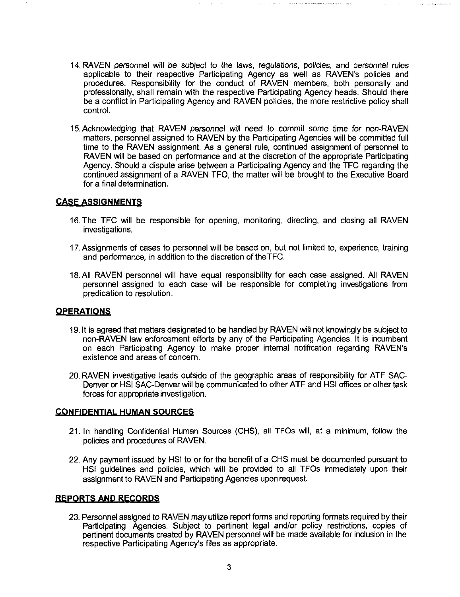- 14. RAVEN personnel will be subject to the laws, regulations, policies, and personnel rules applicable to their respective Participating Agency as well as RAVEN'S policies and procedures. Responsibility for the conduct of RAVEN members, both personally and professionally, shall remain with the respective Participating Agency heads. Should there be a conflict in Participating Agency and RAVEN policies, the more restrictive policy shall control.
- 15. Acknowledging that RAVEN personnel will need to commit some time for non-RAVEN matters, personnel assigned to RAVEN by the Participating Agencies will be committed full time to the RAVEN assignment. As a general rule, continued assignment of personnel to RAVEN will be based on performance and at the discretion of the appropriate Participating Agency. Should a dispute arise between a Participating Agency and the TFC regarding the continued assignment of a RAVEN TFO, the matter will be brought to the Executive Board for a final determination.

# **CASE ASSIGNMENTS**

- 16. The TFC will be responsible for opening, monitoring, directing, and closing ail RAVEN investigations.
- 17. Assignments of cases to personnel will be based on, but not limited to, experience, training and performance, in addition to the discretion of theTFC.
- 18.AII RAVEN personnel will have equal responsibility for each case assigned. All RAVEN personnel assigned to each case will be responsible for completing investigations from predication to resolution.

#### **OPERATIONS**

- 19. It is agreed that matters designated to be handled by RAVEN will not knowingly be subject to non-RAVEN law enforcement efforts by any of the Participating Agencies. It is incumbent on each Participating Agency to make proper internal notification regarding RAVEN'S existence and areas of concern.
- 20. RAVEN investigative leads outside of the geographic areas of responsibility for ATF SAC-Denver or HSI SAC-Denver will be communicated to other ATF and HSI offices or other task forces for appropriate investigation.

#### **CONFIDENTIAL HUMAN SOURCES**

- 21. In handling Confidential Human Sources (CHS), all TFOs will, at a minimum, follow the policies and procedures of RAVEN.
- 22. Any payment issued by HSI to or for the benefit of a CHS must be documented pursuant to HSI guidelines and policies, which will be provided to all TFOs immediately upon their assignment to RAVEN and Participating Agencies upon request.

#### **REPORTS AND RECORDS**

23. Personnel assigned to RAVEN may utilize report forms and reporting formats required by their Participating Agencies. Subject to pertinent legal and/or policy restrictions, copies of pertinent documents created by RAVEN personnel will be made available for inclusion in the respective Participating Agency's files as appropriate.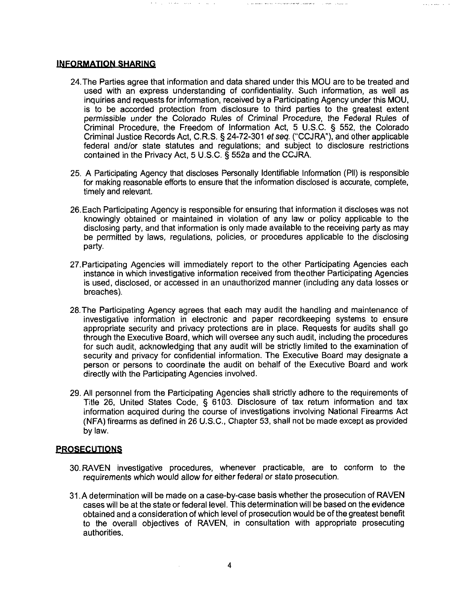#### **INFORMATION SHARING**

24. The Parties agree that information and data shared under this MOU are to be treated and used with an express understanding of confidentiality. Such information, as well as inquiries and requests for information, received by a Participating Agency under this MOU, is to be accorded protection from disclosure to third parties to the greatest extent permissible under the Colorado Rules of Criminal Procedure, the Federal Rules of Criminal Procedure, the Freedom of Information Act, 5 U.S.C. § 552, the Colorado Criminal Justice Records Act, C.R.S. § 24-72-301 etseq. ("CCJRA"), and other applicable federal and/or state statutes and regulations; and subject to disclosure restrictions contained in the Privacy Act, 5 U.S.C. § 552a and the CCJRA.

.<br>The company of the second second that program to

 $\sigma$  ,  $\sigma$  ,  $\sigma$  , and  $\sigma$  , and  $\sigma$  , and  $\sigma$  , and  $\sigma$  , and  $\sigma$ 

- 25. A Participating Agency that discloses Personally Identifiable Information (PH) is responsible for making reasonable efforts to ensure that the information disclosed is accurate, complete, timely and relevant.
- 26. Each Participating Agency is responsible for ensuring that information it discloses was not knowingly obtained or maintained in violation of any law or policy applicable to the disclosing party, and that information is only made available to the receiving party as may be permitted by laws, regulations, policies, or procedures applicable to the disclosing party.
- 27. Participating Agencies will immediately report to the other Participating Agencies each instance in which investigative information received from theother Participating Agencies is used, disclosed, or accessed in an unauthorized manner (including any data losses or breaches).
- 28.The Participating Agency agrees that each may audit the handling and maintenance of investigative information in electronic and paper recordkeeping systems to ensure appropriate security and privacy protections are in place. Requests for audits shall go through the Executive Board, which will oversee any such audit, including the procedures for such audit, acknowledging that any audit will be strictly limited to the examination of security and privacy for confidential information. The Executive Board may designate a person or persons to coordinate the audit on behalf of the Executive Board and work directly with the Participating Agencies involved.
- 29. All personnel from the Participating Agencies shall strictly adhere to the requirements of Title 26, United States Code, § 6103. Disclosure of tax return information and tax information acquired during the course of investigations involving National Firearms Act (NFA) firearms as defined in 26 U.S.C., Chapter 53, shall not be made except as provided by law.

#### **PROSECUTIONS**

- 30. RAVEN investigative procedures, whenever practicable, are to conform to the requirements which would allow for either federal or state prosecution.
- 31 .A determination will be made on a case-by-case basis whether the prosecution of RAVEN cases will be at the state or federal level. This determination will be based on the evidence obtained and a consideration of which level of prosecution would be of the greatest benefit to the overall objectives of RAVEN, in consultation with appropriate prosecuting authorities.

 $\bar{z}$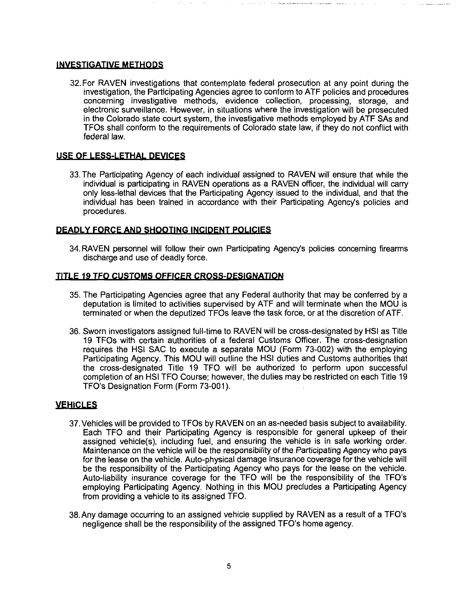# **INVESTIGATIVE METHODS**

32. For RAVEN investigations that contemplate federal prosecution at any point during the investigation, the Participating Agencies agree to conform to ATF policies and procedures concerning investigative methods, evidence collection, processing, storage, and electronic surveillance. However, in situations where the investigation will be prosecuted in the Colorado state court system, the investigative methods employed by ATF SAs and TFOs shall conform to the requirements of Colorado state law. if they do not conflict with federal law.

## **USE OF LESS-LETHAL DEVICES**

33. The Participating Agency of each individuai assigned to RAVEN wiii ensure that whiie the individual is participating in RAVEN operations as a RAVEN officer, the individual will carry only less-lethal devices that the Participating Agency issued to the individual, and that the individual has been trained in accordance with their Participating Agency's policies and procedures.

## **DEADLY FORCE AND SHOOTING INCIDENT POLICIES**

34. RAVEN personnel will follow their own Participating Agency's policies concerning firearms discharge and use of deadly force.

## **TITLE 19 TFQ CUSTOMS OFFICER CROSS-DESIGNATION**

- 35. The Participating Agencies agree that any Federal authority that may be conferred by a deputation is limited to activities supervised by ATF and will terminate when the MOU is terminated or when the deputized TFOs leave the task force, or at the discretion ofATF.
- 36. Sworn investigators assigned full-time to RAVEN will be cross-designated by HSI as Title 19 TFOs with certain authorities of a federal Customs Officer. The cross-designation requires the HSI SAC to execute a separate MOU (Form 73-002) with the employing Participating Agency. This MOU will outline the HSI duties and Customs authorities that the cross-designated Title 19 TFO will be authorized to perform upon successful completion of an HSI TFO Course; however, the duties may be restricted on each Title 19 TFO's Designation Form (Form 73-001).

# **VEHICLES**

- 37. Vehicles will be provided to TFOs by RAVEN on an as-needed basis subject to availability. Each TFO and their Participating Agency is responsible for general upkeep of their assigned vehicle(s), including fuel, and ensuring the vehicle is in safe working order. Maintenance on the vehicle will be the responsibility of the Participating Agency who pays for the lease on the vehicle. Auto-physical damage insurance coverage for the vehicle will be the responsibility of the Participating Agency who pays for the lease on the vehicle. Auto-liability insurance coverage for the TFO will be the responsibility of the TFO's employing Participating Agency. Nothing in this MOU precludes a Participating Agency from providing a vehicle to its assigned TFO.
- 38.Any damage occurring to an assigned vehicle supplied by RAVEN as a result of a TFO's negligence shall be the responsibility of the assigned TFO's home agency.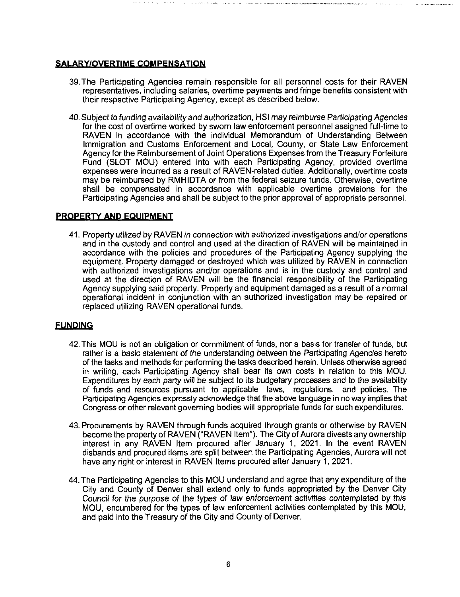## **SALARY/QVERTIME COMPENSATION**

- 39. The Participating Agencies remain responsible for all personnel costs for their RAVEN representatives, Including salaries, overtime payments and fringe benefits consistent with their respective Participating Agency, except as described below.
- 40. Subject to funding availabilityand authorization, HSI may reimburse Participating Agencies for the cost of overtime worked by sworn law enforcement personnel assigned full-time to RAVEN in accordance with the individual Memorandum of Understanding Between Immigration and Customs Enforcement and Local, County, or State Law Enforcement Agency for the Reimbursement of Joint Operations Expenses from the Treasury Forfeiture Fund (SLOT MOU) entered into with each Participating Agency, provided overtime expenses were incurred as a result of RAVEN-related duties. Additionally, overtime costs may be reimbursed by RMHIDTA or from the federal seizure funds. Otherwise, overtime shall be compensated in accordance with applicable overtime provisions for the Participating Agencies and shall be subject to the prior approval of appropriate personnel.

## **PROPERTY AND EQUIPMENT**

41. Property utilized by RAVEN in connection with authorized investigations and/or operations and in the custody and control and used at the direction of RAVEN will be maintained in accordance with the policies and procedures of the Participating Agency supplying the equipment. Property damaged or destroyed which was utilized by RAVEN in connection with authorized investigations and/or operations and is in the custody and control and used at the direction of RAVEN will be the financial responsibility of the Participating Agency supplying said property. Property and equipment damaged as a result of a normal operational incident in conjunction with an authorized investigation may be repaired or replaced utilizing RAVEN operational funds.

#### **FUNDING**

- 42. This MOU is not an obligation or commitment of funds, nor a basis for transfer of funds, but rather is a basic statement of the understanding between the Participating Agencies hereto of the tasks and methods for performing the tasks described herein. Unless otherwise agreed in writing, each Participating Agency shall bear its own costs in relation to this MOU. Expenditures by each party will be subject to its budgetary processes and to the availability of funds and resources pursuant to applicable laws, regulations, and policies. The Participating Agencies expressly acknowledge that the above language in no way implies that Congress or other relevant governing bodies will appropriate funds for such expenditures.
- 43. Procurements by RAVEN through funds acquired through grants or otherwise by RAVEN become the property of RAVEN ("RAVEN Item"). The City of Aurora divests any ownership interest in any RAVEN Item procured after January 1, 2021. In the event RAVEN disbands and procured items are split between the Participating Agencies, Aurora will not have any right or interest in RAVEN Items procured after January 1, 2021.
- 44. The Participating Agencies to this MOU understand and agree that any expenditure of the City and County of Denver shall extend only to funds appropriated by the Denver City Council for the purpose of the types of law enforcement activities contemplated by this MOU, encumbered for the types of law enforcement activities contemplated by this MOU, and paid into the Treasury of the City and County of Denver.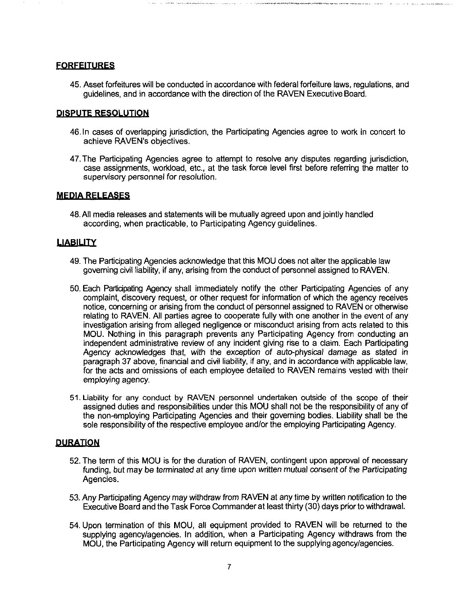## **FORFEITURES**

45. Asset forfeitures will be conducted in accordance with federal forfeiture laws, regulations, and guidelines, and in accordance with the direction of the RAVEN Executive Board.

#### **DISPUTE RESOLUTION**

- 46. In cases of overlapping jurisdiction, the Participating Agencies agree to work in concert to achieve RAVEN'S objectives.
- 47. The Participating Agencies agree to attempt to resolve any disputes regarding jurisdiction, case assignments, workload, etc., at the task force level first before referring the matter to supervisory personnel for resolution.

# **MEDIA RELEASES**

48. All media releases and statements will be mutually agreed upon and jointly handled according, when practicable, to Participating Agency guidelines.

## **LIABILITY**

- 49. The Participating Agencies acknowledge that this MOD does not alter the applicable law governing civil liability, if any, arising from the conduct of personnel assigned to RAVEN.
- 50. Each Participating Agency shall immediately notify the other Participating Agencies of any complaint, discovery request, or other request for information of which the agency receives notice, concerning or arising from the conduct of personnel assigned to RAVEN or othenvise relating to RAVEN. All parties agree to cooperate fully with one another in the event of any investigation arising from alleged negligence or misconduct arising from acts related to this MOD. Nothing in this paragraph prevents any Participating Agency from conducting an independent administrative review of any incident giving rise to a claim. Each Participating Agency acknowledges that, with the exception of auto-physical damage as stated In paragraph 37 above, financial and civil liability, if any, and in accordance with applicable law, for the acts and omissions of each employee detailed to RAVEN remains vested with their employing agency.
- 51. Liability for any conduct by RAVEN personnel undertaken outside of the scope of their assigned duties and responsibilities under this MOU shall not be the responsibility of any of the non-employing Participating Agencies and their governing bodies. Liability shall be the sole responsibility of the respective employee and/or the employing Participating Agency.

#### **DURATION**

- 52. The term of this MOU is for the duration of RAVEN, contingent upon approval of necessary funding, but may be terminated at any time upon written mutual consent of the Participating Agencies.
- 53. Any Participating Agency may withdraw from RAVEN at any time by written notification to the Executive Board and the Task Force Commander at least thirty (30) days prior to withdrawal.
- 54. Upon termination of this MOU, all equipment provided to RAVEN will be returned to the supplying agency/agencies. In addition, when a Participating Agency withdraws from the MOU, the Participating Agency will return equipment to the supplying agency/agencies.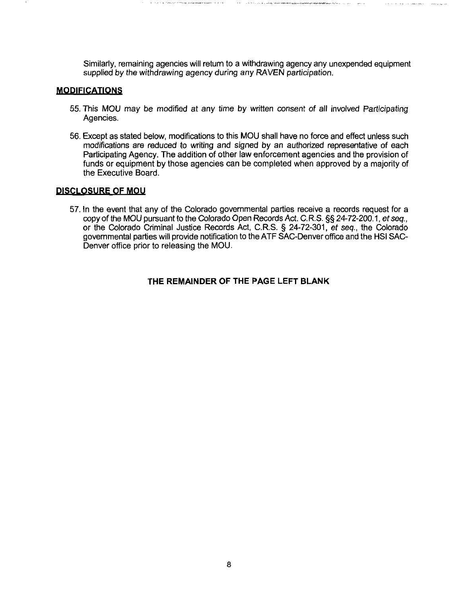Similarly, remaining agencies will return to a withdrawing agency any unexpended equipment supplied by the withdrawing agency during any RAVEN participation.

and the state of the state of the state of

#### **MODIFICATIONS**

- 55. This MOU may be modified at any time by written consent of all involved Participating Agencies.
- 56. Except as stated below, modifications to this MOU shall have no force and effect unless such modifications are reduced to writing and signed by an authorized representative of each Participating Agency. The addition of other law enforcement agencies and the provision of funds or equipment by those agencies can be completed when approved by a majority of the Executive Board.

#### **DISCLOSURE OF MOU**

57. In the event that any of the Colorado governmental parties receive a records request for a copy of the MOU pursuant to the Colorado Open Records Act. C. R.S. §§ 24-72-200.1, et seq., or the Colorado Criminal Justice Records Act, C.R.S. § 24-72-301, et seq., the Colorado governmental parties will provide notification to theATF SAC-Denver office and the HSISAC-Denver office prior to releasing the MOU.

#### **THE REMAINDER OF THE PAGE LEFT BLANK**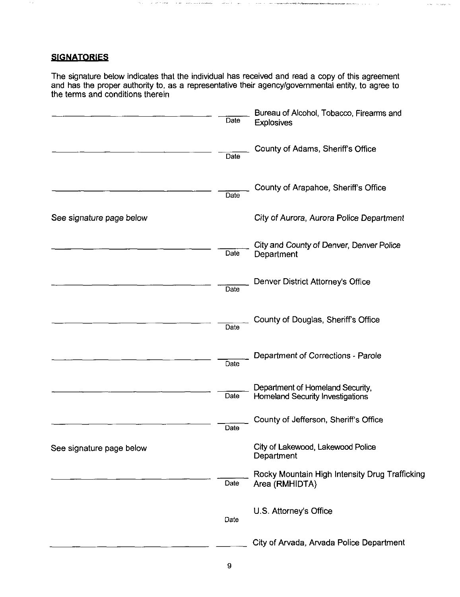# **SIGNATORIES**

 $\sigma_{\rm{max}} = 1.5$  , we write  $\sigma_{\rm{max}}$ 

 $\epsilon$  , and  $\epsilon$  , and  $\epsilon$  , we are at our actions,

 $\sim$   $\sim$ 

The signature below indicates that the individual has received and read a copy of this agreement and has the proper authority to, as a representative their agency/governmenta! entity, to agree to the terms and conditions therein

 $\sim$  and we obtain a spectral

 $\sqrt{s} \phi = \phi / \sqrt{s} \phi / \phi$ 

 $\sim$ 

|                          | Date | Bureau of Alcohol, Tobacco, Firearms and<br><b>Explosives</b>        |
|--------------------------|------|----------------------------------------------------------------------|
|                          | Date | County of Adams, Sheriff's Office                                    |
|                          | Date | County of Arapahoe, Sheriff's Office                                 |
| See signature page below |      | City of Aurora, Aurora Police Department                             |
|                          | Date | City and County of Denver, Denver Police<br>Department               |
|                          | Date | Denver District Attorney's Office                                    |
|                          | Date | County of Douglas, Sheriff's Office                                  |
|                          | Date | Department of Corrections - Parole                                   |
|                          | Date | Department of Homeland Security,<br>Homeland Security Investigations |
|                          | Date | County of Jefferson, Sheriff's Office                                |
| See signature page below |      | City of Lakewood, Lakewood Police<br>Department                      |
|                          | Date | Rocky Mountain High Intensity Drug Trafficking<br>Area (RMHIDTA)     |
|                          | Date | U.S. Attorney's Office                                               |
|                          |      | City of Arvada, Arvada Police Department                             |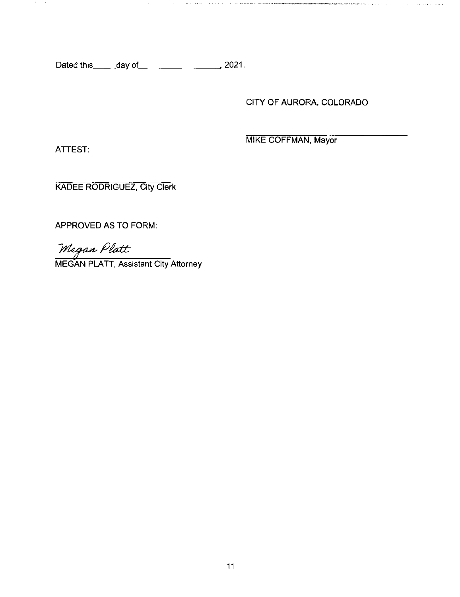Dated this \_\_\_\_\_day of \_\_\_\_\_\_\_\_\_\_\_\_\_\_\_\_\_\_\_\_\_\_, 2021.

 $\mathcal{A}=\mathcal{A}$  .

the second complete service of the second service of the construction of the service of the service of the service of the service of the service of the service of the service of the service of the service of the service of

CITY OF AURORA, COLORADO

and a series of the company of the company of the company of the company of the company of the company of the company of the company of the company of the company of the company of the company of the company of the company

 $\langle\cdot,\cdot\rangle$  . The contract of  $\mu$ 

ATTEST:

 $\mathcal{N}=\mathcal{N}$  ,  $\mathcal{N}=\mathcal{N}$ 

MIKE COFFMAN, Mayor

KADEE RODRIGUEZ, City Clerk

APPROVED AS TO FORM:

Megan Platt<br>MEGAN PLATT, Assistant City Attorney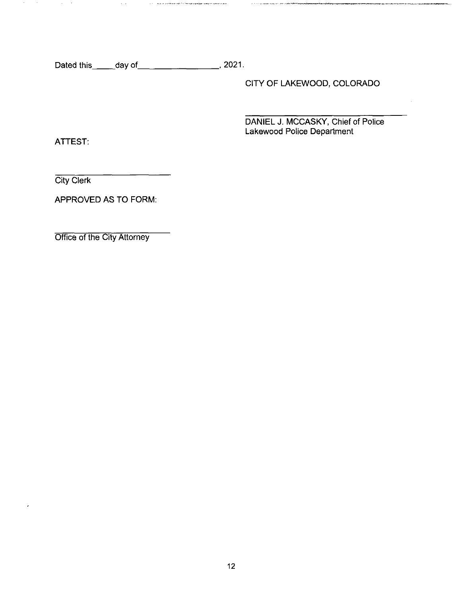Dated this\_\_\_\_\_day of\_ 2021.

 $\chi(\tau) = \log \mu$  is the World Corollation from the company conductive system of an  $\tau$ 

 $\sim$   $\sim$ 

CITY OF LAKEWOOD, COLORADO

 $\beta \rightarrow \beta$  is the case of model of  $\beta$  and  $\beta$ 

**l■lj^!■F^S^^Vl,^» ^l^n^<■^^c>,v>\*l\*^>'. ;^|^'■ .................... iM .<^—« >i,ii nr**

DANIEL J. MCCASKY, Chief of Police Lakewood Police Department

ATTEST:

 $\sim$  $\sim$ 

 $\overline{a}$ 

 $\sim$  $\sim$ 

**City Clerk** 

APPROVED AS TO FORM:

Office of the City Attorney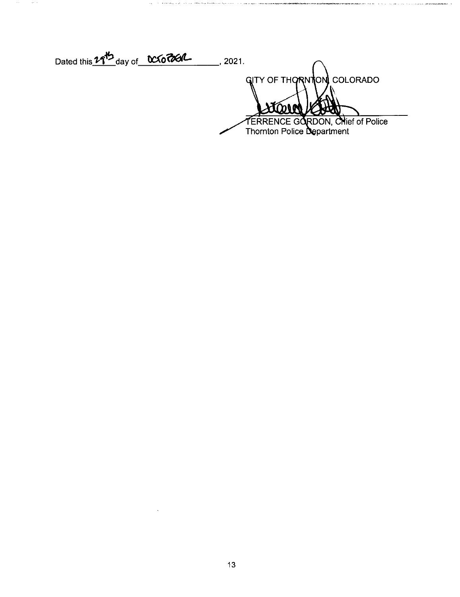Dated this  $\mathcal{U}^{\sharp\mathcal{D}}$  day of  $\mathcal{O}(\sqrt{2}C\mathcal{U})$ , 2021. **GITY OF THORNTON COLORADO N LONN** ERRENCE GORDON, CHief of Police Thornton Police Department

 $\mathcal{A}(\mathcal{C})$  , and  $\mathcal{A}(\mathcal{C})$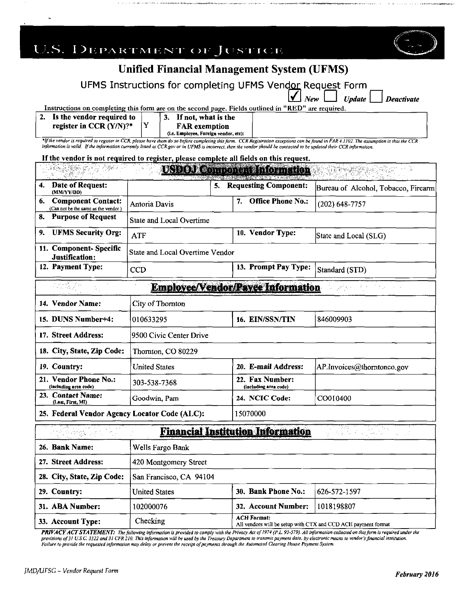| U.S. DEPARTMENT OF JUSTICE                                                                                                                                                                                                                                                                                                                                                                                                                                    |                                 |                                          |                                                               |  |
|---------------------------------------------------------------------------------------------------------------------------------------------------------------------------------------------------------------------------------------------------------------------------------------------------------------------------------------------------------------------------------------------------------------------------------------------------------------|---------------------------------|------------------------------------------|---------------------------------------------------------------|--|
| <b>Unified Financial Management System (UFMS)</b><br>UFMS Instructions for completing UFMS Vendor Request Form<br><b>Update</b><br><b>Deactivate</b>                                                                                                                                                                                                                                                                                                          |                                 |                                          |                                                               |  |
| Instructions on completing this form are on the second page. Fields outlined in "RED" are required.<br>2. Is the vendor required to<br>3. If not, what is the<br>register in CCR (Y/N)?*<br>Y<br><b>FAR</b> exemption<br>(i.e. Employee, Foreign vendor, etc):                                                                                                                                                                                                |                                 |                                          |                                                               |  |
| *If the vendor is required to register in CCR, please have them do so before completing this form. CCR Registration exceptions can be found in FAR 4.1102. The assumption is that the CCR<br>information is valid. If the information currently listed at CCR gov or in UFMS is incorrect, then the vendor should be contacted to be updated their CCR information.<br>If the vendor is not required to register, please complete all fields on this request. |                                 |                                          |                                                               |  |
|                                                                                                                                                                                                                                                                                                                                                                                                                                                               |                                 | USI 102 Kampionen in omriton             |                                                               |  |
| <b>Date of Request:</b><br>4.<br>(MM/YY/DD)                                                                                                                                                                                                                                                                                                                                                                                                                   |                                 | 5. Requesting Component:                 | Bureau of Alcohol, Tobacco, Firearm                           |  |
| <b>Component Contact:</b><br>6.<br>(Can not be the same as the vendor)                                                                                                                                                                                                                                                                                                                                                                                        | Antoria Davis                   | <b>Office Phone No.:</b><br>7.           | $(202)$ 648-7757                                              |  |
| <b>Purpose of Request</b><br>8.                                                                                                                                                                                                                                                                                                                                                                                                                               | State and Local Overtime        |                                          |                                                               |  |
| <b>UFMS Security Org:</b><br>9.                                                                                                                                                                                                                                                                                                                                                                                                                               | <b>ATF</b>                      | 10. Vendor Type:                         | State and Local (SLG)                                         |  |
| 11. Component-Specific<br>Justification:                                                                                                                                                                                                                                                                                                                                                                                                                      | State and Local Overtime Vendor |                                          |                                                               |  |
| 12. Payment Type:                                                                                                                                                                                                                                                                                                                                                                                                                                             | <b>CCD</b>                      | 13. Prompt Pay Type:                     | Standard (STD)                                                |  |
| <b>Employee/Vendor/Payee Information</b><br>$\mathcal{P}(\mathcal{F})$                                                                                                                                                                                                                                                                                                                                                                                        |                                 |                                          |                                                               |  |
| 14. Vendor Name:                                                                                                                                                                                                                                                                                                                                                                                                                                              | City of Thornton                |                                          |                                                               |  |
| 15. DUNS Number+4:                                                                                                                                                                                                                                                                                                                                                                                                                                            | 010633295                       | 16. EIN/SSN/TIN                          | 846009903                                                     |  |
| 17. Street Address:                                                                                                                                                                                                                                                                                                                                                                                                                                           | 9500 Civic Center Drive         |                                          |                                                               |  |
| 18. City, State, Zip Code:                                                                                                                                                                                                                                                                                                                                                                                                                                    | Thornton, CO 80229              |                                          |                                                               |  |
| 19. Country:                                                                                                                                                                                                                                                                                                                                                                                                                                                  | <b>United States</b>            | 20. E-mail Address:                      | AP.Invoices@thorntonco.gov                                    |  |
| 21. Vendor Phone No.:<br>(including area code)                                                                                                                                                                                                                                                                                                                                                                                                                | 303-538-7368                    | 22. Fax Number:<br>(including area code) |                                                               |  |
| 23. Contact Name:<br>(Last, First, MI)                                                                                                                                                                                                                                                                                                                                                                                                                        | Goodwin, Pam                    | 24. NCIC Code:                           | CO010400                                                      |  |
| 25. Federal Vendor Agency Locator Code (ALC):<br>15070000                                                                                                                                                                                                                                                                                                                                                                                                     |                                 |                                          |                                                               |  |
| <b>Financial Institution Information</b><br>안 영향을 받고<br>مراكبهما                                                                                                                                                                                                                                                                                                                                                                                              |                                 |                                          |                                                               |  |
| 26. Bank Name:                                                                                                                                                                                                                                                                                                                                                                                                                                                | Wells Fargo Bank                |                                          |                                                               |  |
| 27. Street Address:                                                                                                                                                                                                                                                                                                                                                                                                                                           | 420 Montgomery Street           |                                          |                                                               |  |
| 28. City, State, Zip Code:                                                                                                                                                                                                                                                                                                                                                                                                                                    | San Francisco, CA 94104         |                                          |                                                               |  |
| 29. Country:                                                                                                                                                                                                                                                                                                                                                                                                                                                  | <b>United States</b>            | 30. Bank Phone No.:                      | 626-572-1597                                                  |  |
| 31. ABA Number:                                                                                                                                                                                                                                                                                                                                                                                                                                               | 102000076                       | 32. Account Number:                      | 1018198807                                                    |  |
| 33. Account Type:                                                                                                                                                                                                                                                                                                                                                                                                                                             | Checking                        | <b>ACH Format:</b>                       | All vendors will be setup with CTX and CCD ACH payment format |  |

**PRIVACY ACT STATEMENT:** The following information is provided to comply with the Privacy Act of 1974 (P.L. 93-579). All information collected on this form is required under the<br>provisions of 31 U.S.C. 3322 and 31 CFR 210.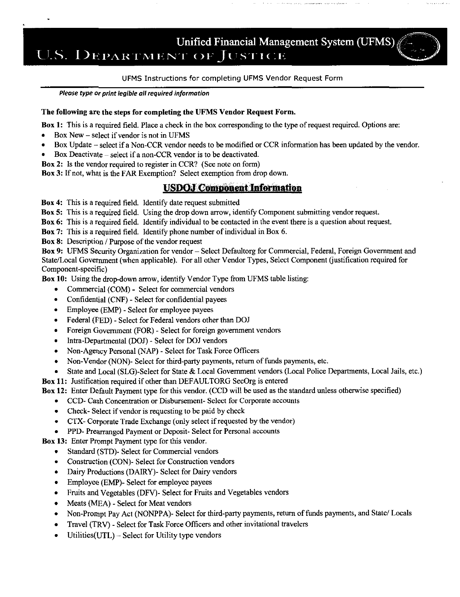# U.S. DEPARTMENT OF JUSTICE Unified Financial Management System (UFMS)

#### UFMS Instructions for completing UFMS Vendor Request Form

**Please type or print legible all required information**

#### **The following aro the steps for completing the UFMS Vendor Request Form.**

Box 1: This is a required field. Place a check in the box corresponding to the type of request required. Options are:

- Box New select if vendor is not in UFMS
- Box Update select if a Non-CCR vendor needs to be modified or CCR information has been updated by the vendor.
- Box Deactivate select if a non-CCR vendor is to be deactivated.

Box 2: Is the vendor required to register in CCR? (See note on form)

Box 3: If not, what is the FAR Exemption? Select exemption from drop down.

# USDOJ Component Information

Box 4: This is a required field. Identify date request submitted

Box 5: This is a required field. Using the drop down arrow, identify Component submitting vendor request.

Box 6: This is a required field. Identify individual to be contacted in the event there is a question about request.

Box 7: This is a required field. Identify phone number of individual in Box 6.

Box 8: Description / Purpose of the vendor request

Box 9: UFMS Security Organization for vendor - Select Defaultorg for Commercial, Federal, Foreign Government and State/Local Government (when applicable). For all other Vendor Types, Select Component (justification required for Component-specific)

Box 10: Using the drop-down arrow, identify Vendor Type from UFMS table listing:

- Commercial (COM) Select for commercial vendors
- Confidential (CNF) Select for confidential payees
- Employee (EMP) Select for employee payees  $\bullet$
- Federal (FED) Select for Federal vendors other than DOJ  $\bullet$
- Foreign Government (FOR) Select for foreign government vendors  $\bullet$
- Intra-Departmental (DOJ) Select for DOJ vendors
- Non-Agency Personal (NAP) Select for Task Force Officers
- Non-Vendor (NON)- Select for third-party payments, return of funds payments, etc.  $\bullet$

State and Local (SLG)-Select for State & Local Government vendors (Local Police Departments, Local Jails, etc.)  $\bullet$ 

Box 11: Justification required if other than DEFAULTORG SecOrg is entered

Box 12: Enter Default Payment type for this vendor. (CCD will be used as the standard unless otherwise specified)

- CCD- Cash Concentration or Disbursement- Select for Corporate accounts
- Check- Select if vendor is requesting to be paid by check
- CTX- Corporate Trade Exchange (only select if requested by the vendor)
- PPD- Prearranged Payment or Deposit- Select for Personal accounts

Box 13: Enter Prompt Payment type for this vendor.

- Standard (STD)- Select for Commercial vendors
- Construction (CON)- Select for Construction vendors
- Dairy Productions (DAIRY)- Select for Dairy vendors
- Employee (EMP)- Select for employee payees  $\bullet$
- $\bullet$ Fruits and Vegetables (DFV)- Select for Fruits and Vegetables vendors
- Meats (MEA) Select for Meat vendors
- Non-Prompt Pay Act (NONPPA)- Select for third-party payments, return of funds payments, and State/ Locals  $\bullet$
- Travel (TRV) Select for Task Force Officers and other invitational travelers  $\bullet$
- Utilities(UTL) Select for Utility type vendors $\bullet$